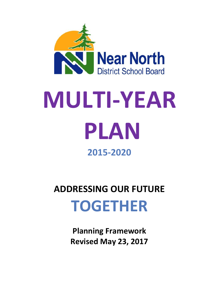

# **MULTI-YEAR PLAN 2015-2020**

# **ADDRESSING OUR FUTURE TOGETHER**

**Planning Framework Revised May 23, 2017**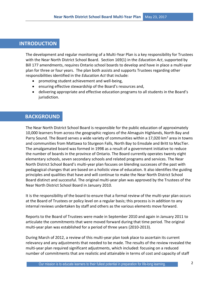# **INTRODUCTION**

The development and regular monitoring of a Multi-Year Plan is a key responsibility for Trustees with the Near North District School Board. Section 169(1) in the *Education Act*, supported by Bill 177 amendments, requires Ontario school boards to develop and have in place a multi-year plan for three or four years. The plan both assists and supports Trustees regarding other responsibilities identified in the *Education Act* that include:

- promoting student achievement and well-being,
- ensuring effective stewardship of the Board's resources and,
- delivering appropriate and effective education programs to all students in the Board's jurisdiction.

# **BACKGROUND**

The Near North District School Board is responsible for the public education of approximately 10,000 learners from across the geographic regions of the Almaguin Highlands, North Bay and Parry Sound. The Board serves a wide variety of communities within a 17,020 km<sup>2</sup> area in towns and communities from Mattawa to Sturgeon Falls, North Bay to Emsdale and Britt to MacTier. The amalgamated board was formed in 1998 as a result of a government initiative to reduce the number of boards in the province of Ontario. The Board currently operates twenty eight elementary schools, seven secondary schools and related programs and services. The Near North District School Board's multi-year plan focuses on blending successes of the past with pedagogical changes that are based on a holistic view of education. It also identifies the guiding principles and qualities that have and will continue to make the Near North District School Board distinct and successful. The original multi-year plan was approved by the Trustees of the Near North District School Board in January 2010.

It is the responsibility of the board to ensure that a formal review of the multi-year plan occurs at the Board of Trustees or policy level on a regular basis; this process is in addition to any internal reviews undertaken by staff and others as the various elements move forward.

Reports to the Board of Trustees were made in September 2010 and again in January 2011 to articulate the commitments that were moved forward during that time period. The original multi-year plan was established for a period of three years (2010-2013).

During March of 2012, a review of this multi-year plan took place to ascertain its current relevancy and any adjustments that needed to be made. The results of the review revealed the multi-year plan required significant adjustments, which included: focusing on a reduced number of commitments that are realistic and attainable in terms of cost and capacity of staff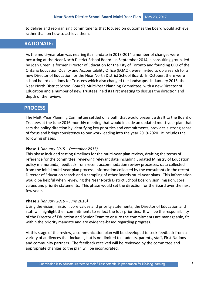to deliver and reorganizing commitments that focused on outcomes the board would achieve rather than on how to achieve them.

# **RATIONALE:**

As the multi-year plan was nearing its mandate in 2013-2014 a number of changes were occurring at the Near North District School Board. In September 2014, a consulting group, led by Joan Green, a former Director of Education for the City of Toronto and founding CEO of the Ontario Education Quality and Accountability Office (EQAO), were invited to do a search for a new Director of Education for the Near North District School Board. In October, there were school board elections for Trustees which also changed the landscape. In January 2015, the Near North District School Board's Multi-Year Planning Committee, with a new Director of Education and a number of new Trustees, held its first meeting to discuss the direction and depth of the review.

# **PROCESS**

The Multi-Year Planning Committee settled on a path that would present a draft to the Board of Trustees at the June 2016 monthly meeting that would include an updated multi-year plan that sets the policy direction by identifying key priorities and commitments, provides a strong sense of focus and brings consistency to our work leading into the year 2019-2020. It includes the following phases.

#### **Phase 1** *(January 2015 – December 2015)*

This phase included setting timelines for the multi-year plan review, drafting the terms of reference for the committee, reviewing relevant data including updated Ministry of Education policy memoranda, feedback from recent accommodation review processes, data collected from the initial multi-year plan process, information collected by the consultants in the recent Director of Education search and a sampling of other Boards multi-year plans. This information would be helpful when reviewing the Near North District School Board vision, mission, core values and priority statements. This phase would set the direction for the Board over the next few years.

#### **Phase 2** *(January 2016 – June 2016)*

Using the vision, mission, core values and priority statements, the Director of Education and staff will highlight their commitments to reflect the four priorities. It will be the responsibility of the Director of Education and Senior Team to ensure the commitments are manageable, fit within the priority mandate and are evidence-based regarding progress.

At this stage of the review, a communication plan will be developed to seek feedback from a variety of audiences that includes, but is not limited to students, parents, staff, First Nations and community partners. The feedback received will be reviewed by the committee and appropriate changes to the plan will be incorporated.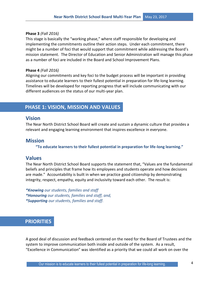#### **Phase 3** *(Fall 2016)*

This stage is basically the "working phase," where staff responsible for developing and implementing the commitments outline their action steps. Under each commitment, there might be a number of foci that would support that commitment while addressing the Board's mission statement. The Director of Education and Senior Administration will manage this phase as a number of foci are included in the Board and School Improvement Plans.

#### **Phase 4** *(Fall 2016)*

Aligning our commitments and key foci to the budget process will be important in providing assistance to educate learners to their fullest potential in preparation for life-long learning. Timelines will be developed for reporting progress that will include communicating with our different audiences on the status of our multi-year plan.

# **PHASE 1: VISION, MISSION AND VALUES**

#### **Vision**

The Near North District School Board will create and sustain a dynamic culture that provides a relevant and engaging learning environment that inspires excellence in everyone.

#### **Mission**

**"To educate learners to their fullest potential in preparation for life-long learning."**

### **Values**

The Near North District School Board supports the statement that, "Values are the fundamental beliefs and principles that frame how its employees and students operate and how decisions are made." Accountability is built in when we practice good citizenship by demonstrating integrity, respect, empathy, equity and inclusivity toward each other. The result is:

*\*Knowing our students, families and staff \*Honouring our students, families and staff, and, \*Supporting our students, families and staff.*

# **PRIORITIES**

A good deal of discussion and feedback centered on the need for the Board of Trustees and the system to improve communication both inside and outside of the system. As a result, "Excellence in Communication" was identified as a priority that we could all work on over the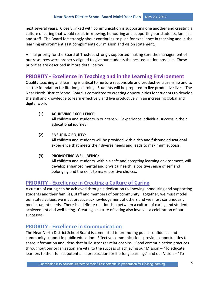next several years. Closely linked with communication is supporting one another and creating a culture of caring that would result in knowing, honouring and supporting our students, families and staff. The Board felt strongly about continuing to push for excellence in teaching and in the learning environment as it compliments our mission and vision statement.

A final priority for the Board of Trustees strongly supported making sure the management of our resources were properly aligned to give our students the best education possible. These priorities are described in more detail below.

# **PRIORITY - Excellence in Teaching and in the Learning Environment**

Quality teaching and learning is critical to nurture responsible and productive citizenship and to set the foundation for life-long learning. Students will be prepared to live productive lives. The Near North District School Board is committed to creating opportunities for students to develop the skill and knowledge to learn effectively and live productively in an increasing global and digital world.

#### **(1) ACHIEVING EXCELLENCE:**

All children and students in our care will experience individual success in their educational journey.

#### **(2) ENSURING EQUITY:**

All children and students will be provided with a rich and fulsome educational experience that meets their diverse needs and leads to maximum success.

#### **(3) PROMOTING WELL-BEING:**

All children and students, within a safe and accepting learning environment, will develop enhanced mental and physical health, a positive sense of self and belonging and the skills to make positive choices.

# **PRIORITY - Excellence in Creating a Culture of Caring**

A culture of caring can be achieved through a dedication to knowing, honouring and supporting students and their families, staff and members of our community. Together, we must model our stated values, we must practice acknowledgement of others and we must continuously meet student needs. There is a definite relationship between a culture of caring and student achievement and well-being. Creating a culture of caring also involves a celebration of our successes.

# **PRIORITY - Excellence in Communication**

The Near North District School Board is committed to promoting public confidence and community support in public education. Effective communications provides opportunities to share information and ideas that build stronger relationships. Good communication practices throughout our organization are vital to the success of achieving our Mission – "To educate learners to their fullest potential in preparation for life-long learning," and our Vision – "To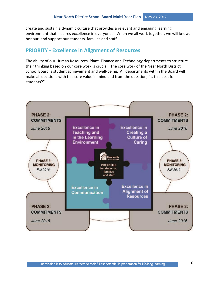create and sustain a dynamic culture that provides a relevant and engaging learning environment that inspires excellence in everyone." When we all work together, we will know, honour, and support our students, families and staff.

# **PRIORITY - Excellence in Alignment of Resources**

The ability of our Human Resources, Plant, Finance and Technology departments to structure their thinking based on our core work is crucial. The core work of the Near North District School Board is student achievement and well-being. All departments within the Board will make all decisions with this core value in mind and from the question, "Is this best for students?"